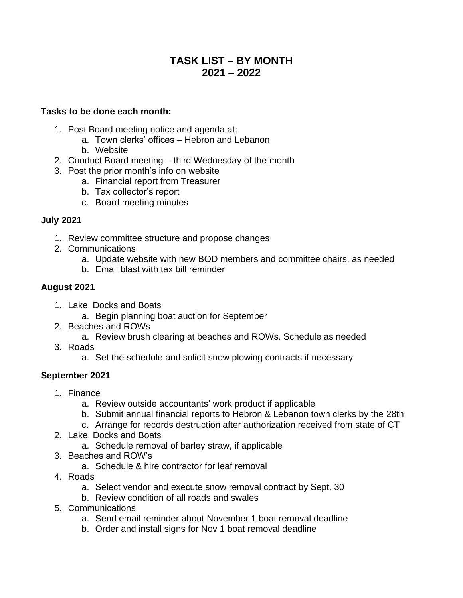# **TASK LIST – BY MONTH 2021 – 2022**

#### **Tasks to be done each month:**

- 1. Post Board meeting notice and agenda at:
	- a. Town clerks' offices Hebron and Lebanon
	- b. Website
- 2. Conduct Board meeting third Wednesday of the month
- 3. Post the prior month's info on website
	- a. Financial report from Treasurer
	- b. Tax collector's report
	- c. Board meeting minutes

#### **July 2021**

- 1. Review committee structure and propose changes
- 2. Communications
	- a. Update website with new BOD members and committee chairs, as needed
	- b. Email blast with tax bill reminder

#### **August 2021**

- 1. Lake, Docks and Boats
	- a. Begin planning boat auction for September
- 2. Beaches and ROWs
	- a. Review brush clearing at beaches and ROWs. Schedule as needed
- 3. Roads
	- a. Set the schedule and solicit snow plowing contracts if necessary

## **September 2021**

- 1. Finance
	- a. Review outside accountants' work product if applicable
	- b. Submit annual financial reports to Hebron & Lebanon town clerks by the 28th
	- c. Arrange for records destruction after authorization received from state of CT
- 2. Lake, Docks and Boats
	- a. Schedule removal of barley straw, if applicable
- 3. Beaches and ROW's
	- a. Schedule & hire contractor for leaf removal
- 4. Roads
	- a. Select vendor and execute snow removal contract by Sept. 30
	- b. Review condition of all roads and swales
- 5. Communications
	- a. Send email reminder about November 1 boat removal deadline
	- b. Order and install signs for Nov 1 boat removal deadline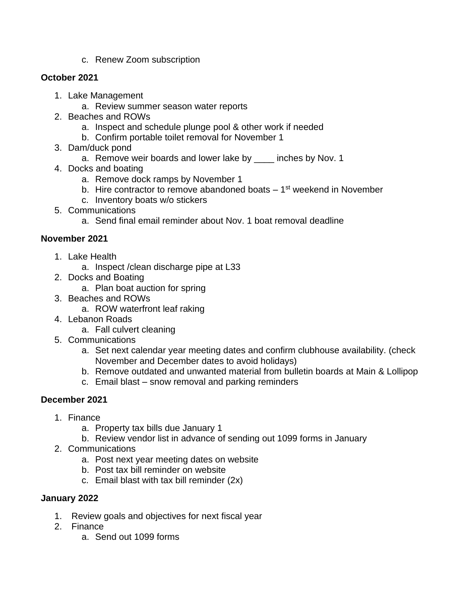c. Renew Zoom subscription

## **October 2021**

- 1. Lake Management
	- a. Review summer season water reports
- 2. Beaches and ROWs
	- a. Inspect and schedule plunge pool & other work if needed
	- b. Confirm portable toilet removal for November 1
- 3. Dam/duck pond
	- a. Remove weir boards and lower lake by \_\_\_\_ inches by Nov. 1
- 4. Docks and boating
	- a. Remove dock ramps by November 1
	- b. Hire contractor to remove abandoned boats 1<sup>st</sup> weekend in November
	- c. Inventory boats w/o stickers
- 5. Communications
	- a. Send final email reminder about Nov. 1 boat removal deadline

## **November 2021**

- 1. Lake Health
	- a. Inspect /clean discharge pipe at L33
- 2. Docks and Boating
	- a. Plan boat auction for spring
- 3. Beaches and ROWs
	- a. ROW waterfront leaf raking
- 4. Lebanon Roads
	- a. Fall culvert cleaning
- 5. Communications
	- a. Set next calendar year meeting dates and confirm clubhouse availability. (check November and December dates to avoid holidays)
	- b. Remove outdated and unwanted material from bulletin boards at Main & Lollipop
	- c. Email blast snow removal and parking reminders

## **December 2021**

- 1. Finance
	- a. Property tax bills due January 1
	- b. Review vendor list in advance of sending out 1099 forms in January
- 2. Communications
	- a. Post next year meeting dates on website
	- b. Post tax bill reminder on website
	- c. Email blast with tax bill reminder (2x)

## **January 2022**

- 1. Review goals and objectives for next fiscal year
- 2. Finance
	- a. Send out 1099 forms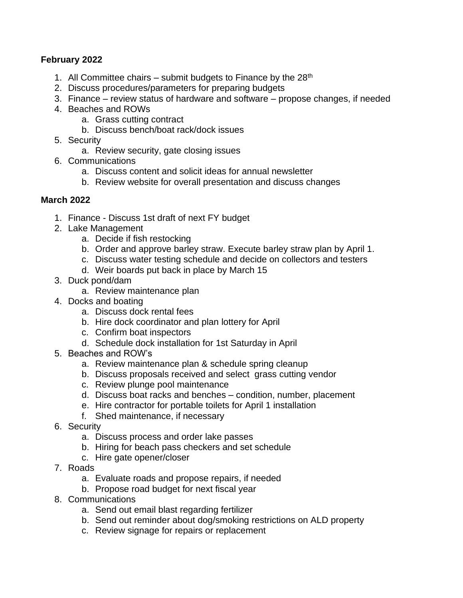## **February 2022**

- 1. All Committee chairs  $-$  submit budgets to Finance by the 28<sup>th</sup>
- 2. Discuss procedures/parameters for preparing budgets
- 3. Finance review status of hardware and software propose changes, if needed
- 4. Beaches and ROWs
	- a. Grass cutting contract
	- b. Discuss bench/boat rack/dock issues
- 5. Security
	- a. Review security, gate closing issues
- 6. Communications
	- a. Discuss content and solicit ideas for annual newsletter
	- b. Review website for overall presentation and discuss changes

#### **March 2022**

- 1. Finance Discuss 1st draft of next FY budget
- 2. Lake Management
	- a. Decide if fish restocking
	- b. Order and approve barley straw. Execute barley straw plan by April 1.
	- c. Discuss water testing schedule and decide on collectors and testers
	- d. Weir boards put back in place by March 15
- 3. Duck pond/dam
	- a. Review maintenance plan
- 4. Docks and boating
	- a. Discuss dock rental fees
	- b. Hire dock coordinator and plan lottery for April
	- c. Confirm boat inspectors
	- d. Schedule dock installation for 1st Saturday in April
- 5. Beaches and ROW's
	- a. Review maintenance plan & schedule spring cleanup
	- b. Discuss proposals received and select grass cutting vendor
	- c. Review plunge pool maintenance
	- d. Discuss boat racks and benches condition, number, placement
	- e. Hire contractor for portable toilets for April 1 installation
	- f. Shed maintenance, if necessary
- 6. Security
	- a. Discuss process and order lake passes
	- b. Hiring for beach pass checkers and set schedule
	- c. Hire gate opener/closer
- 7. Roads
	- a. Evaluate roads and propose repairs, if needed
	- b. Propose road budget for next fiscal year
- 8. Communications
	- a. Send out email blast regarding fertilizer
	- b. Send out reminder about dog/smoking restrictions on ALD property
	- c. Review signage for repairs or replacement